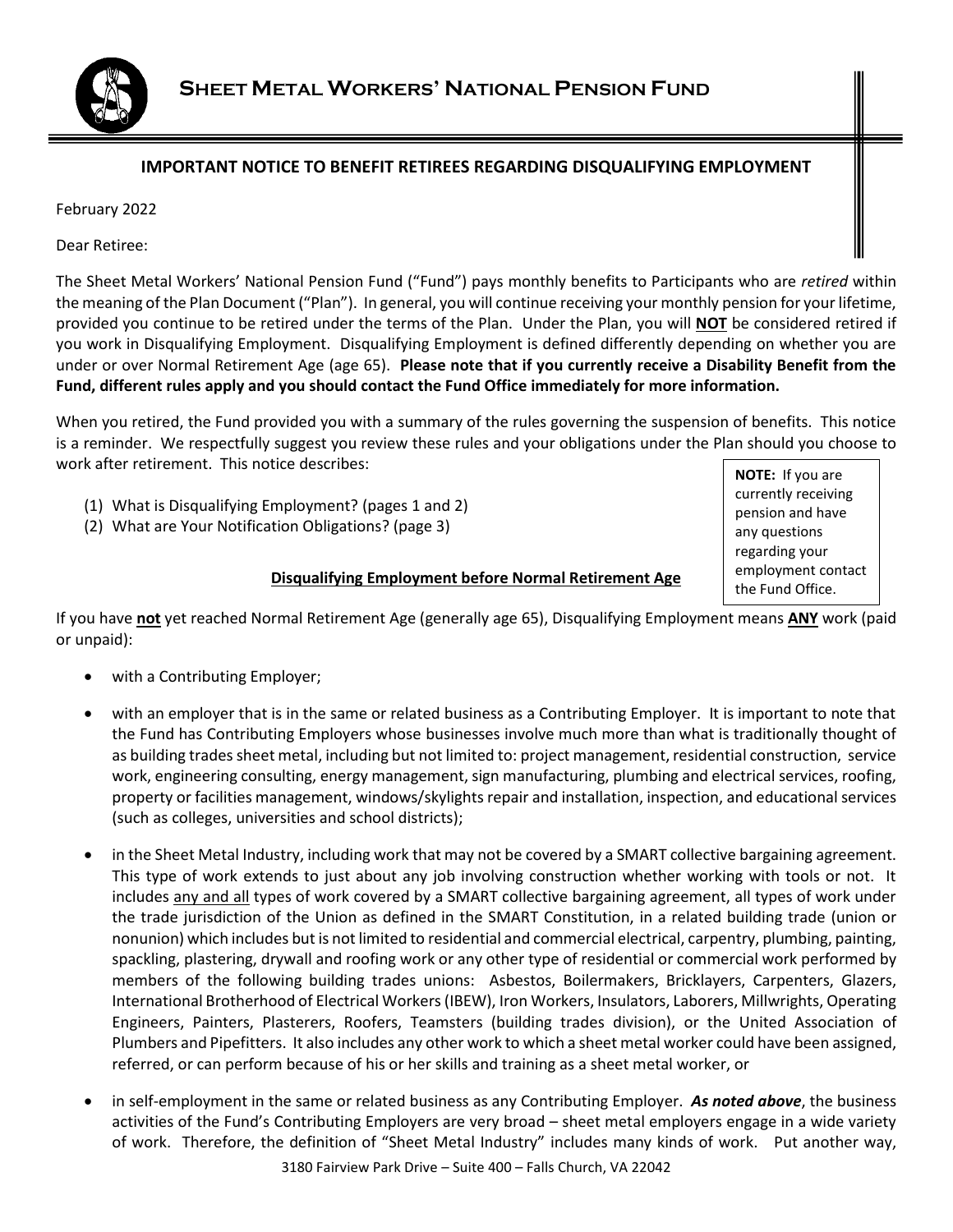

## **IMPORTANT NOTICE TO BENEFIT RETIREES REGARDING DISQUALIFYING EMPLOYMENT**

February 2022

Dear Retiree:

The Sheet Metal Workers' National Pension Fund ("Fund") pays monthly benefits to Participants who are *retired* within the meaning of the Plan Document ("Plan"). In general, you will continue receiving your monthly pension for your lifetime, provided you continue to be retired under the terms of the Plan. Under the Plan, you will **NOT** be considered retired if you work in Disqualifying Employment. Disqualifying Employment is defined differently depending on whether you are under or over Normal Retirement Age (age 65). **Please note that if you currently receive a Disability Benefit from the Fund, different rules apply and you should contact the Fund Office immediately for more information.**

When you retired, the Fund provided you with a summary of the rules governing the suspension of benefits. This notice is a reminder. We respectfully suggest you review these rules and your obligations under the Plan should you choose to work after retirement. This notice describes:

- (1) What is Disqualifying Employment? (pages 1 and 2)
- (2) What are Your Notification Obligations? (page 3)

**NOTE:** If you are currently receiving pension and have any questions regarding your employment contact the Fund Office.

#### **Disqualifying Employment before Normal Retirement Age**

If you have **not** yet reached Normal Retirement Age (generally age 65), Disqualifying Employment means **ANY** work (paid or unpaid):

- with a Contributing Employer;
- with an employer that is in the same or related business as a Contributing Employer. It is important to note that the Fund has Contributing Employers whose businesses involve much more than what is traditionally thought of as building trades sheet metal, including but not limited to: project management, residential construction, service work, engineering consulting, energy management, sign manufacturing, plumbing and electrical services, roofing, property or facilities management, windows/skylights repair and installation, inspection, and educational services (such as colleges, universities and school districts);
- in the Sheet Metal Industry, including work that may not be covered by a SMART collective bargaining agreement. This type of work extends to just about any job involving construction whether working with tools or not. It includes any and all types of work covered by a SMART collective bargaining agreement, all types of work under the trade jurisdiction of the Union as defined in the SMART Constitution, in a related building trade (union or nonunion) which includes but is not limited to residential and commercial electrical, carpentry, plumbing, painting, spackling, plastering, drywall and roofing work or any other type of residential or commercial work performed by members of the following building trades unions: Asbestos, Boilermakers, Bricklayers, Carpenters, Glazers, International Brotherhood of Electrical Workers (IBEW), Iron Workers, Insulators, Laborers, Millwrights, Operating Engineers, Painters, Plasterers, Roofers, Teamsters (building trades division), or the United Association of Plumbers and Pipefitters. It also includes any other work to which a sheet metal worker could have been assigned, referred, or can perform because of his or her skills and training as a sheet metal worker, or
- in self-employment in the same or related business as any Contributing Employer. *As noted above*, the business activities of the Fund's Contributing Employers are very broad – sheet metal employers engage in a wide variety of work. Therefore, the definition of "Sheet Metal Industry" includes many kinds of work. Put another way,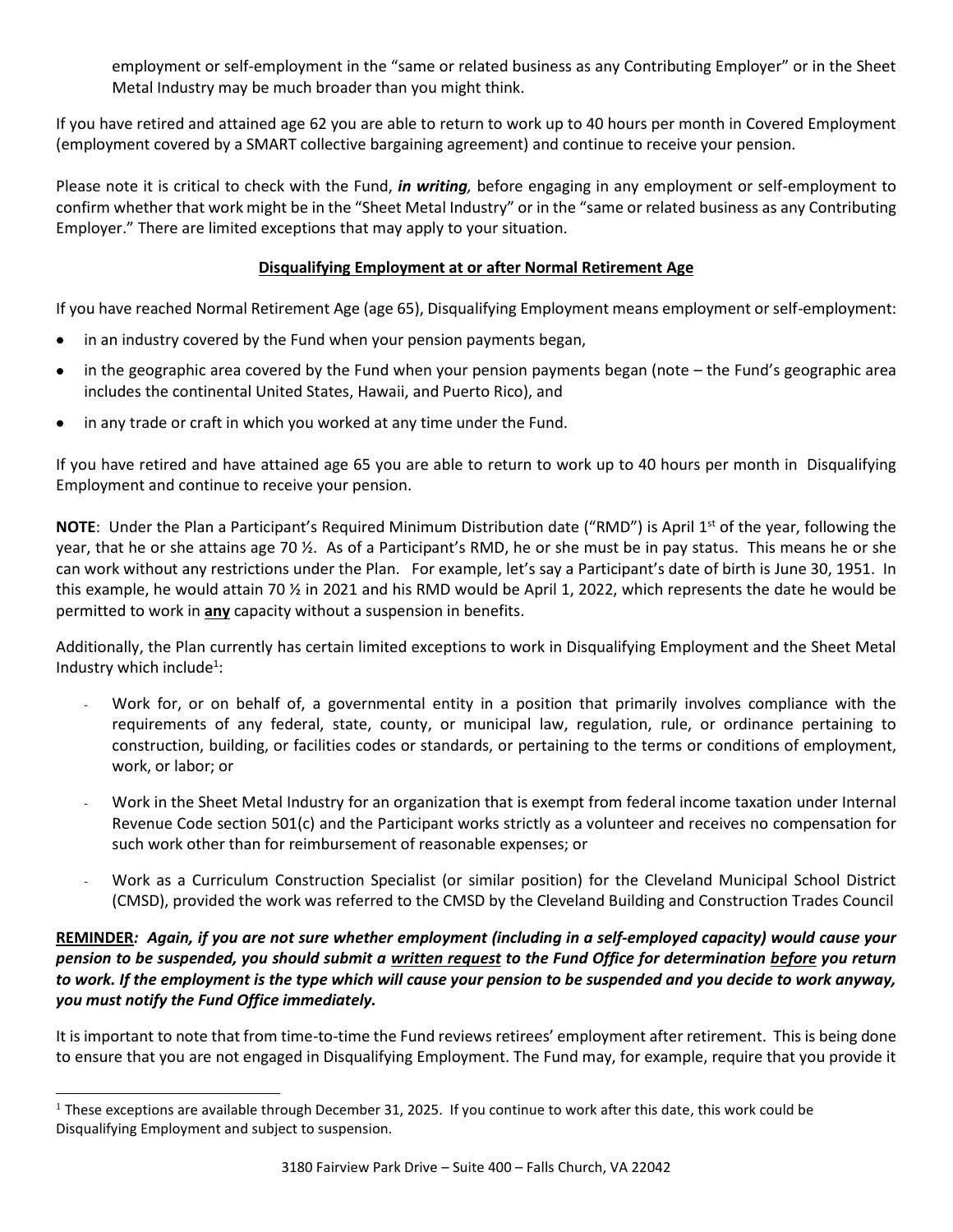employment or self-employment in the "same or related business as any Contributing Employer" or in the Sheet Metal Industry may be much broader than you might think.

If you have retired and attained age 62 you are able to return to work up to 40 hours per month in Covered Employment (employment covered by a SMART collective bargaining agreement) and continue to receive your pension.

Please note it is critical to check with the Fund, *in writing,* before engaging in any employment or self-employment to confirm whether that work might be in the "Sheet Metal Industry" or in the "same or related business as any Contributing Employer." There are limited exceptions that may apply to your situation.

### **Disqualifying Employment at or after Normal Retirement Age**

If you have reached Normal Retirement Age (age 65), Disqualifying Employment means employment or self-employment:

- in an industry covered by the Fund when your pension payments began,
- in the geographic area covered by the Fund when your pension payments began (note the Fund's geographic area includes the continental United States, Hawaii, and Puerto Rico), and
- in any trade or craft in which you worked at any time under the Fund.

If you have retired and have attained age 65 you are able to return to work up to 40 hours per month in Disqualifying Employment and continue to receive your pension.

**NOTE**: Under the Plan a Participant's Required Minimum Distribution date ("RMD") is April 1st of the year, following the year, that he or she attains age 70 ½. As of a Participant's RMD, he or she must be in pay status. This means he or she can work without any restrictions under the Plan. For example, let's say a Participant's date of birth is June 30, 1951. In this example, he would attain 70 % in 2021 and his RMD would be April 1, 2022, which represents the date he would be permitted to work in **any** capacity without a suspension in benefits.

Additionally, the Plan currently has certain limited exceptions to work in Disqualifying Employment and the Sheet Metal Industry which include<sup>1</sup>:

- Work for, or on behalf of, a governmental entity in a position that primarily involves compliance with the requirements of any federal, state, county, or municipal law, regulation, rule, or ordinance pertaining to construction, building, or facilities codes or standards, or pertaining to the terms or conditions of employment, work, or labor; or
- Work in the Sheet Metal Industry for an organization that is exempt from federal income taxation under Internal Revenue Code section 501(c) and the Participant works strictly as a volunteer and receives no compensation for such work other than for reimbursement of reasonable expenses; or
- Work as a Curriculum Construction Specialist (or similar position) for the Cleveland Municipal School District (CMSD), provided the work was referred to the CMSD by the Cleveland Building and Construction Trades Council

# **REMINDER***: Again, if you are not sure whether employment (including in a self-employed capacity) would cause your pension to be suspended, you should submit a written request to the Fund Office for determination before you return to work. If the employment is the type which will cause your pension to be suspended and you decide to work anyway, you must notify the Fund Office immediately.*

It is important to note that from time-to-time the Fund reviews retirees' employment after retirement. This is being done to ensure that you are not engaged in Disqualifying Employment. The Fund may, for example, require that you provide it

 $1$  These exceptions are available through December 31, 2025. If you continue to work after this date, this work could be Disqualifying Employment and subject to suspension.